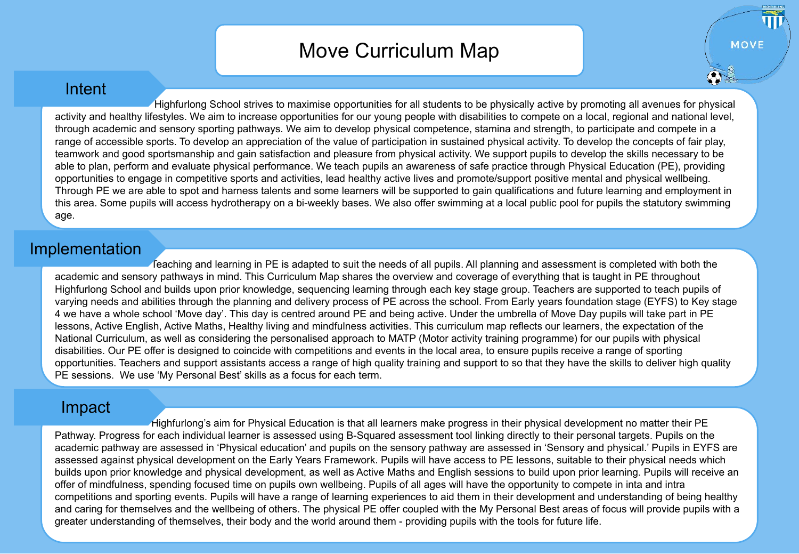## Move Curriculum Map

**MOVE** 

## Intent

 Highfurlong School strives to maximise opportunities for all students to be physically active by promoting all avenues for physical activity and healthy lifestyles. We aim to increase opportunities for our young people with disabilities to compete on a local, regional and national level, through academic and sensory sporting pathways. We aim to develop physical competence, stamina and strength, to participate and compete in a range of accessible sports. To develop an appreciation of the value of participation in sustained physical activity. To develop the concepts of fair play, teamwork and good sportsmanship and gain satisfaction and pleasure from physical activity. We support pupils to develop the skills necessary to be able to plan, perform and evaluate physical performance. We teach pupils an awareness of safe practice through Physical Education (PE), providing opportunities to engage in competitive sports and activities, lead healthy active lives and promote/support positive mental and physical wellbeing. Through PE we are able to spot and harness talents and some learners will be supported to gain qualifications and future learning and employment in this area. Some pupils will access hydrotherapy on a bi-weekly bases. We also offer swimming at a local public pool for pupils the statutory swimming age.

## Implementation

 Teaching and learning in PE is adapted to suit the needs of all pupils. All planning and assessment is completed with both the academic and sensory pathways in mind. This Curriculum Map shares the overview and coverage of everything that is taught in PE throughout Highfurlong School and builds upon prior knowledge, sequencing learning through each key stage group. Teachers are supported to teach pupils of varying needs and abilities through the planning and delivery process of PE across the school. From Early years foundation stage (EYFS) to Key stage 4 we have a whole school 'Move day'. This day is centred around PE and being active. Under the umbrella of Move Day pupils will take part in PE lessons, Active English, Active Maths, Healthy living and mindfulness activities. This curriculum map reflects our learners, the expectation of the National Curriculum, as well as considering the personalised approach to MATP (Motor activity training programme) for our pupils with physical disabilities. Our PE offer is designed to coincide with competitions and events in the local area, to ensure pupils receive a range of sporting opportunities. Teachers and support assistants access a range of high quality training and support to so that they have the skills to deliver high quality PE sessions. We use 'My Personal Best' skills as a focus for each term.

## Impact

 Highfurlong's aim for Physical Education is that all learners make progress in their physical development no matter their PE Pathway. Progress for each individual learner is assessed using B-Squared assessment tool linking directly to their personal targets. Pupils on the academic pathway are assessed in 'Physical education' and pupils on the sensory pathway are assessed in 'Sensory and physical.' Pupils in EYFS are assessed against physical development on the Early Years Framework. Pupils will have access to PE lessons, suitable to their physical needs which builds upon prior knowledge and physical development, as well as Active Maths and English sessions to build upon prior learning. Pupils will receive an offer of mindfulness, spending focused time on pupils own wellbeing. Pupils of all ages will have the opportunity to compete in inta and intra competitions and sporting events. Pupils will have a range of learning experiences to aid them in their development and understanding of being healthy and caring for themselves and the wellbeing of others. The physical PE offer coupled with the My Personal Best areas of focus will provide pupils with a greater understanding of themselves, their body and the world around them - providing pupils with the tools for future life.